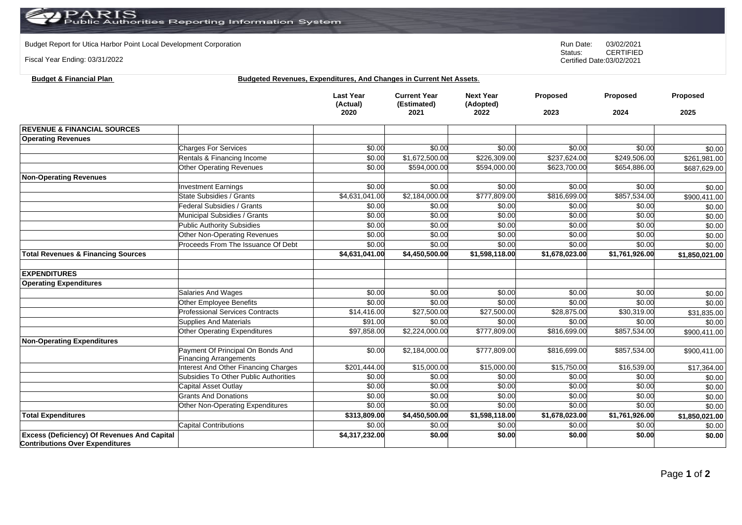## $\operatorname{PARIS}_{\text{Public Authorities}}$  Reporting Information System

Budget Report for Utica Harbor Point Local Development Corporation **Run Date:** 03/02/2021<br>Status: CERTIFIED

Fiscal Year Ending: 03/31/2022

**Budget & Financial Plan** 

CERTIFIED Certified Date:03/02/2021

| <b>Budgeted Revenues, Expenditures, And Changes in Current Net Assets.</b> |  |
|----------------------------------------------------------------------------|--|
|                                                                            |  |

|                                                                                              |                                                                    | <b>Last Year</b><br>(Actual)<br>2020 | <b>Current Year</b><br>(Estimated)<br>2021 | <b>Next Year</b><br>(Adopted)<br>2022 | Proposed<br>2023 | Proposed<br>2024 | Proposed<br>2025 |
|----------------------------------------------------------------------------------------------|--------------------------------------------------------------------|--------------------------------------|--------------------------------------------|---------------------------------------|------------------|------------------|------------------|
|                                                                                              |                                                                    |                                      |                                            |                                       |                  |                  |                  |
| <b>REVENUE &amp; FINANCIAL SOURCES</b>                                                       |                                                                    |                                      |                                            |                                       |                  |                  |                  |
| <b>Operating Revenues</b>                                                                    |                                                                    |                                      |                                            |                                       |                  |                  |                  |
|                                                                                              | <b>Charges For Services</b>                                        | \$0.00                               | \$0.00                                     | \$0.00                                | \$0.00           | \$0.00           | \$0.00           |
|                                                                                              | Rentals & Financing Income                                         | \$0.00                               | \$1,672,500.00                             | \$226,309.00                          | \$237,624.00     | \$249,506.00     | \$261,981.00     |
|                                                                                              | Other Operating Revenues                                           | \$0.00                               | \$594,000.00                               | \$594,000.00                          | \$623,700.00     | \$654,886.00     | \$687,629.00     |
| <b>Non-Operating Revenues</b>                                                                |                                                                    |                                      |                                            |                                       |                  |                  |                  |
|                                                                                              | <b>Investment Earnings</b>                                         | \$0.00                               | \$0.00                                     | \$0.00                                | \$0.00           | \$0.00           | \$0.00           |
|                                                                                              | State Subsidies / Grants                                           | \$4,631,041.00                       | \$2,184,000.00                             | \$777,809.00                          | \$816,699.00     | \$857,534.00     | \$900,411.00     |
|                                                                                              | Federal Subsidies / Grants                                         | \$0.00                               | \$0.00                                     | \$0.00                                | \$0.00           | \$0.00           | \$0.00           |
|                                                                                              | Municipal Subsidies / Grants                                       | \$0.00                               | \$0.00                                     | \$0.00                                | \$0.00           | \$0.00           | \$0.00           |
|                                                                                              | <b>Public Authority Subsidies</b>                                  | \$0.00                               | \$0.00                                     | \$0.00                                | \$0.00           | \$0.00           | \$0.00           |
|                                                                                              | Other Non-Operating Revenues                                       | \$0.00                               | \$0.00                                     | \$0.00                                | \$0.00           | \$0.00           | \$0.00           |
|                                                                                              | Proceeds From The Issuance Of Debt                                 | \$0.00                               | \$0.00                                     | \$0.00                                | \$0.00           | \$0.00           | \$0.00           |
| <b>Total Revenues &amp; Financing Sources</b>                                                |                                                                    | \$4,631,041.00                       | \$4,450,500.00                             | \$1,598,118.00                        | \$1,678,023.00   | \$1,761,926.00   | \$1,850,021.00   |
| <b>EXPENDITURES</b>                                                                          |                                                                    |                                      |                                            |                                       |                  |                  |                  |
| <b>Operating Expenditures</b>                                                                |                                                                    |                                      |                                            |                                       |                  |                  |                  |
|                                                                                              | Salaries And Wages                                                 | \$0.00                               | \$0.00                                     | \$0.00                                | \$0.00           | \$0.00           | \$0.00           |
|                                                                                              | Other Employee Benefits                                            | \$0.00                               | \$0.00                                     | \$0.00                                | \$0.00           | \$0.00           | \$0.00           |
|                                                                                              | <b>Professional Services Contracts</b>                             | \$14,416.00                          | $\overline{$27,500.00}$                    | \$27,500.00                           | \$28,875.00      | \$30,319.00      | \$31,835.00      |
|                                                                                              | Supplies And Materials                                             | \$91.00                              | \$0.00                                     | \$0.00                                | \$0.00           | \$0.00           | \$0.00           |
|                                                                                              | Other Operating Expenditures                                       | \$97,858.00                          | \$2,224,000.00                             | \$777,809.00                          | \$816,699.00     | \$857,534.00     | \$900,411.00     |
| <b>Non-Operating Expenditures</b>                                                            |                                                                    |                                      |                                            |                                       |                  |                  |                  |
|                                                                                              | Payment Of Principal On Bonds And<br><b>Financing Arrangements</b> | \$0.00                               | \$2,184,000.00                             | \$777,809.00                          | \$816,699.00     | \$857,534.00     | \$900,411.00     |
|                                                                                              | Interest And Other Financing Charges                               | \$201,444.00                         | \$15,000.00                                | \$15,000.00                           | \$15,750.00      | \$16,539.00      | \$17,364.00      |
|                                                                                              | Subsidies To Other Public Authorities                              | \$0.00                               | \$0.00                                     | \$0.00                                | \$0.00           | \$0.00           | \$0.00           |
|                                                                                              | Capital Asset Outlay                                               | \$0.00                               | \$0.00                                     | \$0.00                                | \$0.00           | \$0.00           | \$0.00           |
|                                                                                              | <b>Grants And Donations</b>                                        | \$0.00                               | \$0.00                                     | \$0.00                                | \$0.00           | \$0.00           | \$0.00           |
|                                                                                              | Other Non-Operating Expenditures                                   | \$0.00                               | \$0.00                                     | \$0.00                                | \$0.00           | \$0.00           | \$0.00           |
| <b>Total Expenditures</b>                                                                    |                                                                    | \$313,809.00                         | \$4,450,500.00                             | \$1,598,118.00                        | \$1,678,023.00   | \$1,761,926.00   | \$1,850,021.00   |
|                                                                                              | <b>Capital Contributions</b>                                       | \$0.00                               | \$0.00                                     | \$0.00                                | \$0.00           | \$0.00           | \$0.00           |
| <b>Excess (Deficiency) Of Revenues And Capital</b><br><b>Contributions Over Expenditures</b> |                                                                    | \$4,317,232.00                       | \$0.00                                     | \$0.00                                | \$0.00           | \$0.00           | \$0.00           |